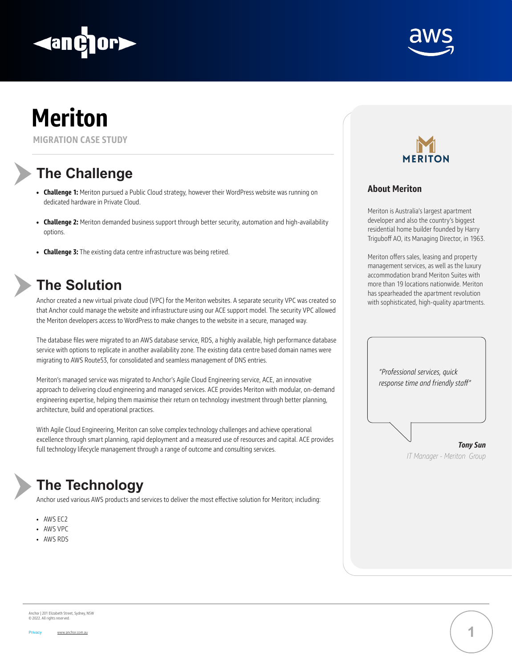

**MIGRATION CASE STUDY**

# **The Challenge**

## **The Solution**

### **The Technology**

- **• Challenge 1:** Meriton pursued a Public Cloud strategy, however their WordPress website was running on dedicated hardware in Private Cloud.
- **• Challenge 2:** Meriton demanded business support through better security, automation and high-availability options.
- **• Challenge 3:** The existing data centre infrastructure was being retired.

Anchor created a new virtual private cloud (VPC) for the Meriton websites. A separate security VPC was created so that Anchor could manage the website and infrastructure using our ACE support model. The security VPC allowed the Meriton developers access to WordPress to make changes to the website in a secure, managed way.

The database files were migrated to an AWS database service, RDS, a highly available, high performance database service with options to replicate in another availability zone. The existing data centre based domain names were



migrating to AWS Route53, for consolidated and seamless management of DNS entries.

Meriton's managed service was migrated to Anchor's Agile Cloud Engineering service, ACE, an innovative approach to delivering cloud engineering and managed services. ACE provides Meriton with modular, on-demand engineering expertise, helping them maximise their return on technology investment through better planning, architecture, build and operational practices.

With Agile Cloud Engineering, Meriton can solve complex technology challenges and achieve operational excellence through smart planning, rapid deployment and a measured use of resources and capital. ACE provides full technology lifecycle management through a range of outcome and consulting services.

Anchor used various AWS products and services to deliver the most effective solution for Meriton; including:

- AWS EC2
- AWS VPC
- AWS RDS



Anchor | 201 Elizabeth Street, Sydney, NSW © 2022. All rights reserved.

Privacy www.anchor.com.au

#### **About Meriton**

Meriton is Australia's largest apartment developer and also the country's biggest residential home builder founded by Harry Triguboff AO, its Managing Director, in 1963.

Meriton offers sales, leasing and property management services, as well as the luxury accommodation brand Meriton Suites with more than 19 locations nationwide. Meriton has spearheaded the apartment revolution with sophisticated, high-quality apartments.





*"Professional services, quick response time and friendly staff" Tony Sun IT Manager - Meriton Group*